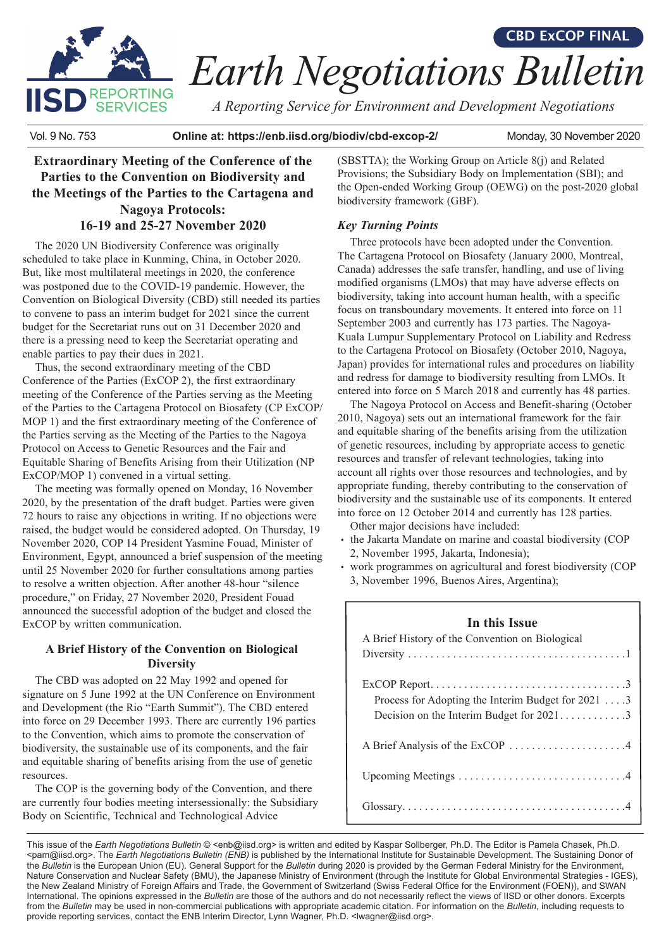

# *Earth Negotiations Bulletin* **CBD ExCOP FINAL**

*A Reporting Service for Environment and Development Negotiations*

Vol. 9 No. 753 **Online at: https://enb.iisd.org/biodiv/cbd-excop-2/** Monday, 30 November 2020

**Extraordinary Meeting of the Conference of the Parties to the Convention on Biodiversity and the Meetings of the Parties to the Cartagena and Nagoya Protocols: 16-19 and 25-27 November 2020**

The 2020 UN Biodiversity Conference was originally scheduled to take place in Kunming, China, in October 2020. But, like most multilateral meetings in 2020, the conference was postponed due to the COVID-19 pandemic. However, the Convention on Biological Diversity (CBD) still needed its parties to convene to pass an interim budget for 2021 since the current budget for the Secretariat runs out on 31 December 2020 and there is a pressing need to keep the Secretariat operating and enable parties to pay their dues in 2021.

Thus, the second extraordinary meeting of the CBD Conference of the Parties (ExCOP 2), the first extraordinary meeting of the Conference of the Parties serving as the Meeting of the Parties to the Cartagena Protocol on Biosafety (CP ExCOP/ MOP 1) and the first extraordinary meeting of the Conference of the Parties serving as the Meeting of the Parties to the Nagoya Protocol on Access to Genetic Resources and the Fair and Equitable Sharing of Benefits Arising from their Utilization (NP ExCOP/MOP 1) convened in a virtual setting.

The meeting was formally opened on Monday, 16 November 2020, by the presentation of the draft budget. Parties were given 72 hours to raise any objections in writing. If no objections were raised, the budget would be considered adopted. On Thursday, 19 November 2020, COP 14 President Yasmine Fouad, Minister of Environment, Egypt, announced a brief suspension of the meeting until 25 November 2020 for further consultations among parties to resolve a written objection. After another 48-hour "silence procedure," on Friday, 27 November 2020, President Fouad announced the successful adoption of the budget and closed the ExCOP by written communication.

## **A Brief History of the Convention on Biological Diversity**

The CBD was adopted on 22 May 1992 and opened for signature on 5 June 1992 at the UN Conference on Environment and Development (the Rio "Earth Summit"). The CBD entered into force on 29 December 1993. There are currently 196 parties to the Convention, which aims to promote the conservation of biodiversity, the sustainable use of its components, and the fair and equitable sharing of benefits arising from the use of genetic resources.

The COP is the governing body of the Convention, and there are currently four bodies meeting intersessionally: the Subsidiary Body on Scientific, Technical and Technological Advice

(SBSTTA); the Working Group on Article 8(j) and Related Provisions; the Subsidiary Body on Implementation (SBI); and the Open-ended Working Group (OEWG) on the post-2020 global biodiversity framework (GBF).

# *Key Turning Points*

Three protocols have been adopted under the Convention. The Cartagena Protocol on Biosafety (January 2000, Montreal, Canada) addresses the safe transfer, handling, and use of living modified organisms (LMOs) that may have adverse effects on biodiversity, taking into account human health, with a specific focus on transboundary movements. It entered into force on 11 September 2003 and currently has 173 parties. The Nagoya-Kuala Lumpur Supplementary Protocol on Liability and Redress to the Cartagena Protocol on Biosafety (October 2010, Nagoya, Japan) provides for international rules and procedures on liability and redress for damage to biodiversity resulting from LMOs. It entered into force on 5 March 2018 and currently has 48 parties.

The Nagoya Protocol on Access and Benefit-sharing (October 2010, Nagoya) sets out an international framework for the fair and equitable sharing of the benefits arising from the utilization of genetic resources, including by appropriate access to genetic resources and transfer of relevant technologies, taking into account all rights over those resources and technologies, and by appropriate funding, thereby contributing to the conservation of biodiversity and the sustainable use of its components. It entered into force on 12 October 2014 and currently has 128 parties.

Other major decisions have included:

- the Jakarta Mandate on marine and coastal biodiversity (COP 2, November 1995, Jakarta, Indonesia);
- work programmes on agricultural and forest biodiversity (COP 3, November 1996, Buenos Aires, Argentina);

## **In this Issue**

| A Brief History of the Convention on Biological                                                 |
|-------------------------------------------------------------------------------------------------|
| Process for Adopting the Interim Budget for $20213$<br>Decision on the Interim Budget for 20213 |
|                                                                                                 |
|                                                                                                 |
|                                                                                                 |

This issue of the *Earth Negotiations Bulletin* © [<enb@iisd.org>](mailto:enb@iisd.org) is written and edited by Kaspar Sollberger, Ph.D. The Editor is Pamela Chasek, Ph.D. [<pam@iisd.org>](mailto:pam@iisd.org). The *Earth Negotiations Bulletin (ENB)* is published by the International Institute for Sustainable Development. The Sustaining Donor of the *Bulletin* is the European Union (EU). General Support for the *Bulletin* during 2020 is provided by the German Federal Ministry for the Environment, Nature Conservation and Nuclear Safety (BMU), the Japanese Ministry of Environment (through the Institute for Global Environmental Strategies - IGES), the New Zealand Ministry of Foreign Affairs and Trade, the Government of Switzerland (Swiss Federal Office for the Environment (FOEN)), and SWAN International. The opinions expressed in the *Bulletin* are those of the authors and do not necessarily reflect the views of IISD or other donors. Excerpts from the *Bulletin* may be used in non-commercial publications with appropriate academic citation. For information on the *Bulletin*, including requests to provide reporting services, contact the ENB Interim Director, Lynn Wagner, Ph.D. [<lwagner@iisd.org>](mailto:lwagner@iisd.org).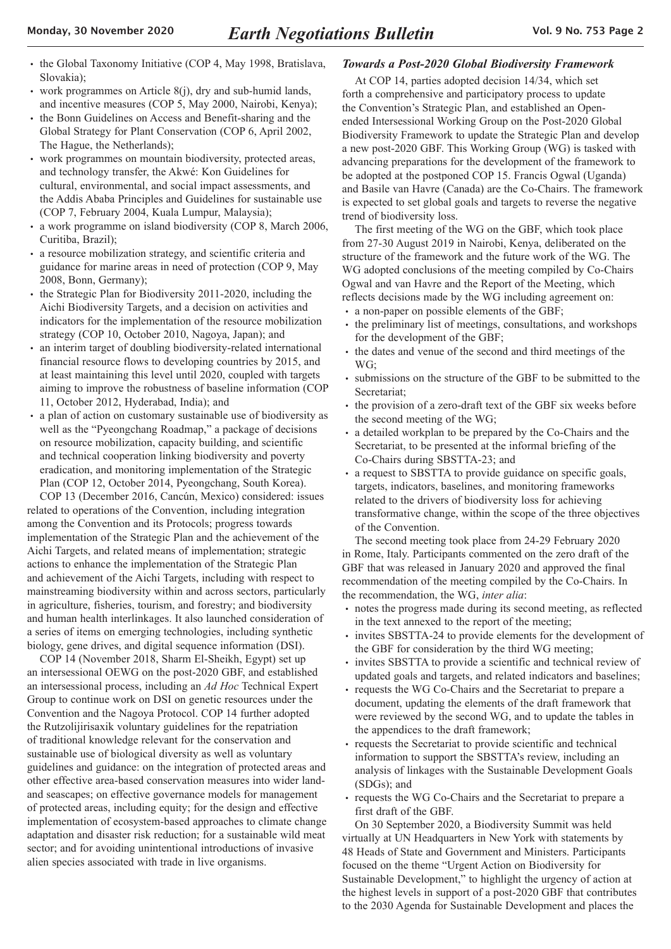- the Global Taxonomy Initiative (COP 4, May 1998, Bratislava, Slovakia);
- work programmes on Article 8(j), dry and sub-humid lands, and incentive measures (COP 5, May 2000, Nairobi, Kenya);
- the Bonn Guidelines on Access and Benefit-sharing and the Global Strategy for Plant Conservation (COP 6, April 2002, The Hague, the Netherlands);
- work programmes on mountain biodiversity, protected areas, and technology transfer, the Akwé: Kon Guidelines for cultural, environmental, and social impact assessments, and the Addis Ababa Principles and Guidelines for sustainable use (COP 7, February 2004, Kuala Lumpur, Malaysia);
- a work programme on island biodiversity (COP 8, March 2006, Curitiba, Brazil);
- a resource mobilization strategy, and scientific criteria and guidance for marine areas in need of protection (COP 9, May 2008, Bonn, Germany);
- the Strategic Plan for Biodiversity 2011-2020, including the Aichi Biodiversity Targets, and a decision on activities and indicators for the implementation of the resource mobilization strategy (COP 10, October 2010, Nagoya, Japan); and
- an interim target of doubling biodiversity-related international financial resource flows to developing countries by 2015, and at least maintaining this level until 2020, coupled with targets aiming to improve the robustness of baseline information (COP 11, October 2012, Hyderabad, India); and
- a plan of action on customary sustainable use of biodiversity as well as the "Pyeongchang Roadmap," a package of decisions on resource mobilization, capacity building, and scientific and technical cooperation linking biodiversity and poverty eradication, and monitoring implementation of the Strategic Plan (COP 12, October 2014, Pyeongchang, South Korea).

COP 13 (December 2016, Cancún, Mexico) considered: issues related to operations of the Convention, including integration among the Convention and its Protocols; progress towards implementation of the Strategic Plan and the achievement of the Aichi Targets, and related means of implementation; strategic actions to enhance the implementation of the Strategic Plan and achievement of the Aichi Targets, including with respect to mainstreaming biodiversity within and across sectors, particularly in agriculture, fisheries, tourism, and forestry; and biodiversity and human health interlinkages. It also launched consideration of a series of items on emerging technologies, including synthetic biology, gene drives, and digital sequence information (DSI).

COP 14 (November 2018, Sharm El-Sheikh, Egypt) set up an intersessional OEWG on the post-2020 GBF, and established an intersessional process, including an *Ad Hoc* Technical Expert Group to continue work on DSI on genetic resources under the Convention and the Nagoya Protocol. COP 14 further adopted the Rutzolijirisaxik voluntary guidelines for the repatriation of traditional knowledge relevant for the conservation and sustainable use of biological diversity as well as voluntary guidelines and guidance: on the integration of protected areas and other effective area-based conservation measures into wider landand seascapes; on effective governance models for management of protected areas, including equity; for the design and effective implementation of ecosystem-based approaches to climate change adaptation and disaster risk reduction; for a sustainable wild meat sector; and for avoiding unintentional introductions of invasive alien species associated with trade in live organisms.

#### *Towards a Post-2020 Global Biodiversity Framework*

At COP 14, parties adopted decision 14/34, which set forth a comprehensive and participatory process to update the Convention's Strategic Plan, and established an Openended Intersessional Working Group on the Post-2020 Global Biodiversity Framework to update the Strategic Plan and develop a new post-2020 GBF. This Working Group (WG) is tasked with advancing preparations for the development of the framework to be adopted at the postponed COP 15. Francis Ogwal (Uganda) and Basile van Havre (Canada) are the Co-Chairs. The framework is expected to set global goals and targets to reverse the negative trend of biodiversity loss.

The first meeting of the WG on the GBF, which took place from 27-30 August 2019 in Nairobi, Kenya, deliberated on the structure of the framework and the future work of the WG. The WG adopted conclusions of the meeting compiled by Co-Chairs Ogwal and van Havre and the Report of the Meeting, which reflects decisions made by the WG including agreement on:

- a non-paper on possible elements of the GBF;
- the preliminary list of meetings, consultations, and workshops for the development of the GBF;
- the dates and venue of the second and third meetings of the WG;
- submissions on the structure of the GBF to be submitted to the Secretariat;
- the provision of a zero-draft text of the GBF six weeks before the second meeting of the WG;
- a detailed workplan to be prepared by the Co-Chairs and the Secretariat, to be presented at the informal briefing of the Co-Chairs during SBSTTA-23; and
- a request to SBSTTA to provide guidance on specific goals, targets, indicators, baselines, and monitoring frameworks related to the drivers of biodiversity loss for achieving transformative change, within the scope of the three objectives of the Convention.

The second meeting took place from 24-29 February 2020 in Rome, Italy. Participants commented on the zero draft of the GBF that was released in January 2020 and approved the final recommendation of the meeting compiled by the Co-Chairs. In the recommendation, the WG, *inter alia*:

- notes the progress made during its second meeting, as reflected in the text annexed to the report of the meeting;
- invites SBSTTA-24 to provide elements for the development of the GBF for consideration by the third WG meeting;
- invites SBSTTA to provide a scientific and technical review of updated goals and targets, and related indicators and baselines;
- requests the WG Co-Chairs and the Secretariat to prepare a document, updating the elements of the draft framework that were reviewed by the second WG, and to update the tables in the appendices to the draft framework;
- requests the Secretariat to provide scientific and technical information to support the SBSTTA's review, including an analysis of linkages with the Sustainable Development Goals (SDGs); and
- requests the WG Co-Chairs and the Secretariat to prepare a first draft of the GBF.

On 30 September 2020, a Biodiversity Summit was held virtually at UN Headquarters in New York with statements by 48 Heads of State and Government and Ministers. Participants focused on the theme "Urgent Action on Biodiversity for Sustainable Development," to highlight the urgency of action at the highest levels in support of a post-2020 GBF that contributes to the 2030 Agenda for Sustainable Development and places the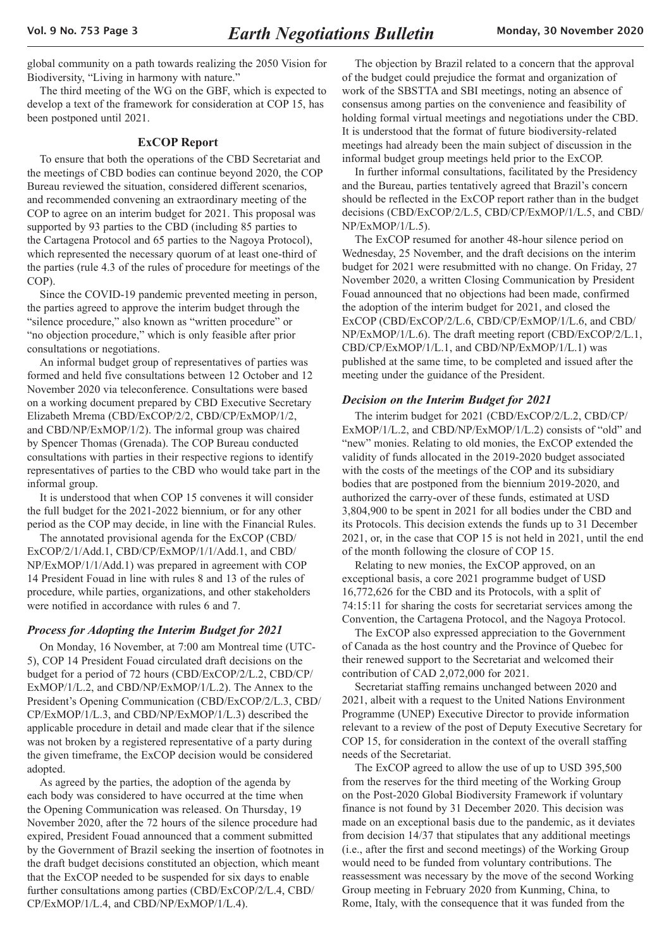<span id="page-2-0"></span>global community on a path towards realizing the 2050 Vision for Biodiversity, "Living in harmony with nature."

The third meeting of the WG on the GBF, which is expected to develop a text of the framework for consideration at COP 15, has been postponed until 2021.

#### **ExCOP Report**

To ensure that both the operations of the CBD Secretariat and the meetings of CBD bodies can continue beyond 2020, the COP Bureau reviewed the situation, considered different scenarios, and recommended convening an extraordinary meeting of the COP to agree on an interim budget for 2021. This proposal was supported by 93 parties to the CBD (including 85 parties to the Cartagena Protocol and 65 parties to the Nagoya Protocol), which represented the necessary quorum of at least one-third of the parties (rule 4.3 of the rules of procedure for meetings of the COP).

Since the COVID-19 pandemic prevented meeting in person, the parties agreed to approve the interim budget through the "silence procedure," also known as "written procedure" or "no objection procedure," which is only feasible after prior consultations or negotiations.

An informal budget group of representatives of parties was formed and held five consultations between 12 October and 12 November 2020 via teleconference. Consultations were based on a working document prepared by CBD Executive Secretary Elizabeth Mrema (CBD/ExCOP/2/2, CBD/CP/ExMOP/1/2, and CBD/NP/ExMOP/1/2). The informal group was chaired by Spencer Thomas (Grenada). The COP Bureau conducted consultations with parties in their respective regions to identify representatives of parties to the CBD who would take part in the informal group.

It is understood that when COP 15 convenes it will consider the full budget for the 2021-2022 biennium, or for any other period as the COP may decide, in line with the Financial Rules.

The annotated provisional agenda for the ExCOP (CBD/ ExCOP/2/1/Add.1, CBD/CP/ExMOP/1/1/Add.1, and CBD/ NP/ExMOP/1/1/Add.1) was prepared in agreement with COP 14 President Fouad in line with rules 8 and 13 of the rules of procedure, while parties, organizations, and other stakeholders were notified in accordance with rules 6 and 7.

#### *Process for Adopting the Interim Budget for 2021*

On Monday, 16 November, at 7:00 am Montreal time (UTC-5), COP 14 President Fouad circulated draft decisions on the budget for a period of 72 hours (CBD/ExCOP/2/L.2, CBD/CP/ ExMOP/1/L.2, and CBD/NP/ExMOP/1/L.2). The Annex to the President's Opening Communication (CBD/ExCOP/2/L.3, CBD/ CP/ExMOP/1/L.3, and CBD/NP/ExMOP/1/L.3) described the applicable procedure in detail and made clear that if the silence was not broken by a registered representative of a party during the given timeframe, the ExCOP decision would be considered adopted.

As agreed by the parties, the adoption of the agenda by each body was considered to have occurred at the time when the Opening Communication was released. On Thursday, 19 November 2020, after the 72 hours of the silence procedure had expired, President Fouad announced that a comment submitted by the Government of Brazil seeking the insertion of footnotes in the draft budget decisions constituted an objection, which meant that the ExCOP needed to be suspended for six days to enable further consultations among parties (CBD/ExCOP/2/L.4, CBD/ CP/ExMOP/1/L.4, and CBD/NP/ExMOP/1/L.4).

The objection by Brazil related to a concern that the approval of the budget could prejudice the format and organization of work of the SBSTTA and SBI meetings, noting an absence of consensus among parties on the convenience and feasibility of holding formal virtual meetings and negotiations under the CBD. It is understood that the format of future biodiversity-related meetings had already been the main subject of discussion in the informal budget group meetings held prior to the ExCOP.

In further informal consultations, facilitated by the Presidency and the Bureau, parties tentatively agreed that Brazil's concern should be reflected in the ExCOP report rather than in the budget decisions (CBD/ExCOP/2/L.5, CBD/CP/ExMOP/1/L.5, and CBD/ NP/ExMOP/1/L.5).

The ExCOP resumed for another 48-hour silence period on Wednesday, 25 November, and the draft decisions on the interim budget for 2021 were resubmitted with no change. On Friday, 27 November 2020, a written Closing Communication by President Fouad announced that no objections had been made, confirmed the adoption of the interim budget for 2021, and closed the ExCOP (CBD/ExCOP/2/L.6, CBD/CP/ExMOP/1/L.6, and CBD/ NP/ExMOP/1/L.6). The draft meeting report (CBD/ExCOP/2/L.1, CBD/CP/ExMOP/1/L.1, and CBD/NP/ExMOP/1/L.1) was published at the same time, to be completed and issued after the meeting under the guidance of the President.

## *Decision on the Interim Budget for 2021*

The interim budget for 2021 (CBD/ExCOP/2/L.2, CBD/CP/ ExMOP/1/L.2, and CBD/NP/ExMOP/1/L.2) consists of "old" and "new" monies. Relating to old monies, the ExCOP extended the validity of funds allocated in the 2019-2020 budget associated with the costs of the meetings of the COP and its subsidiary bodies that are postponed from the biennium 2019-2020, and authorized the carry-over of these funds, estimated at USD 3,804,900 to be spent in 2021 for all bodies under the CBD and its Protocols. This decision extends the funds up to 31 December 2021, or, in the case that COP 15 is not held in 2021, until the end of the month following the closure of COP 15.

Relating to new monies, the ExCOP approved, on an exceptional basis, a core 2021 programme budget of USD 16,772,626 for the CBD and its Protocols, with a split of 74:15:11 for sharing the costs for secretariat services among the Convention, the Cartagena Protocol, and the Nagoya Protocol.

The ExCOP also expressed appreciation to the Government of Canada as the host country and the Province of Quebec for their renewed support to the Secretariat and welcomed their contribution of CAD 2,072,000 for 2021.

Secretariat staffing remains unchanged between 2020 and 2021, albeit with a request to the United Nations Environment Programme (UNEP) Executive Director to provide information relevant to a review of the post of Deputy Executive Secretary for COP 15, for consideration in the context of the overall staffing needs of the Secretariat.

The ExCOP agreed to allow the use of up to USD 395,500 from the reserves for the third meeting of the Working Group on the Post-2020 Global Biodiversity Framework if voluntary finance is not found by 31 December 2020. This decision was made on an exceptional basis due to the pandemic, as it deviates from decision 14/37 that stipulates that any additional meetings (i.e., after the first and second meetings) of the Working Group would need to be funded from voluntary contributions. The reassessment was necessary by the move of the second Working Group meeting in February 2020 from Kunming, China, to Rome, Italy, with the consequence that it was funded from the